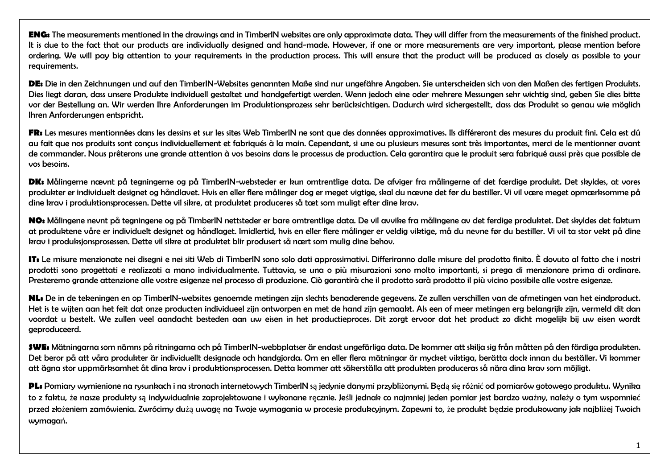**ENG:** The measurements mentioned in the drawings and in TimberIN websites are only approximate data. They will differ from the measurements of the finished product. It is due to the fact that our products are individually designed and hand-made. However, if one or more measurements are very important, please mention before ordering. We will pay big attention to your requirements in the production process. This will ensure that the product will be produced as closely as possible to your requirements.

**DE:** Die in den Zeichnungen und auf den TimberIN-Websites genannten Maße sind nur ungefähre Angaben. Sie unterscheiden sich von den Maßen des fertigen Produkts. Dies liegt daran, dass unsere Produkte individuell gestaltet und handgefertigt werden. Wenn jedoch eine oder mehrere Messungen sehr wichtig sind, geben Sie dies bitte vor der Bestellung an. Wir werden Ihre Anforderungen im Produktionsprozess sehr berücksichtigen. Dadurch wird sichergestellt, dass das Produkt so genau wie möglich Ihren Anforderungen entspricht.

**FR:** Les mesures mentionnées dans les dessins et sur les sites Web TimberIN ne sont que des données approximatives. Ils différeront des mesures du produit fini. Cela est dû au fait que nos produits sont conçus individuellement et fabriqués à la main. Cependant, si une ou plusieurs mesures sont très importantes, merci de le mentionner avant de commander. Nous prêterons une grande attention à vos besoins dans le processus de production. Cela garantira que le produit sera fabriqué aussi près que possible de vos besoins.

**DK:** Målingerne nævnt på tegningerne og på TimberIN-websteder er kun omtrentlige data. De afviger fra målingerne af det færdige produkt. Det skyldes, at vores produkter er individuelt designet og håndlavet. Hvis en eller flere målinger dog er meget vigtige, skal du nævne det før du bestiller. Vi vil være meget opmærksomme på dine krav i produktionsprocessen. Dette vil sikre, at produktet produceres så tæt som muligt efter dine krav.

**NO:** Målingene nevnt på tegningene og på TimberIN nettsteder er bare omtrentlige data. De vil avvike fra målingene av det ferdige produktet. Det skyldes det faktum at produktene våre er individuelt designet og håndlaget. Imidlertid, hvis en eller flere målinger er veldig viktige, må du nevne før du bestiller. Vi vil ta stor vekt på dine krav i produksjonsprosessen. Dette vil sikre at produktet blir produsert så nært som mulig dine behov.

**IT:** Le misure menzionate nei disegni e nei siti Web di TimberIN sono solo dati approssimativi. Differiranno dalle misure del prodotto finito. È dovuto al fatto che i nostri prodotti sono progettati e realizzati a mano individualmente. Tuttavia, se una o più misurazioni sono molto importanti, si prega di menzionare prima di ordinare. Presteremo grande attenzione alle vostre esigenze nel processo di produzione. Ciò garantirà che il prodotto sarà prodotto il più vicino possibile alle vostre esigenze.

**NL:** De in de tekeningen en op TimberIN-websites genoemde metingen zijn slechts benaderende gegevens. Ze zullen verschillen van de afmetingen van het eindproduct. Het is te wijten aan het feit dat onze producten individueel zijn ontworpen en met de hand zijn gemaakt. Als een of meer metingen erg belangrijk zijn, vermeld dit dan voordat u bestelt. We zullen veel aandacht besteden aan uw eisen in het productieproces. Dit zorgt ervoor dat het product zo dicht mogelijk bij uw eisen wordt geproduceerd.

**SWE:** Mätningarna som nämns på ritningarna och på TimberIN-webbplatser är endast ungefärliga data. De kommer att skilja sig från måtten på den färdiga produkten. Det beror på att våra produkter är individuellt designade och handgjorda. Om en eller flera mätningar är mycket viktiga, berätta dock innan du beställer. Vi kommer att ägna stor uppmärksamhet åt dina krav i produktionsprocessen. Detta kommer att säkerställa att produkten produceras så nära dina krav som möjligt.

**PL:** Pomiary wymienione na rysunkach i na stronach internetowych TimberIN są jedynie danymi przybliżonymi. Będą się różnić od pomiarów gotowego produktu. Wynika to z faktu, że nasze produkty są indywidualnie zaprojektowane i wykonane ręcznie. Jeśli jednak co najmniej jeden pomiar jest bardzo ważny, należy o tym wspomnieć przed złożeniem zamówienia. Zwrócimy dużą uwagę na Twoje wymagania w procesie produkcyjnym. Zapewni to, że produkt będzie produkowany jak najbliżej Twoich wymagań.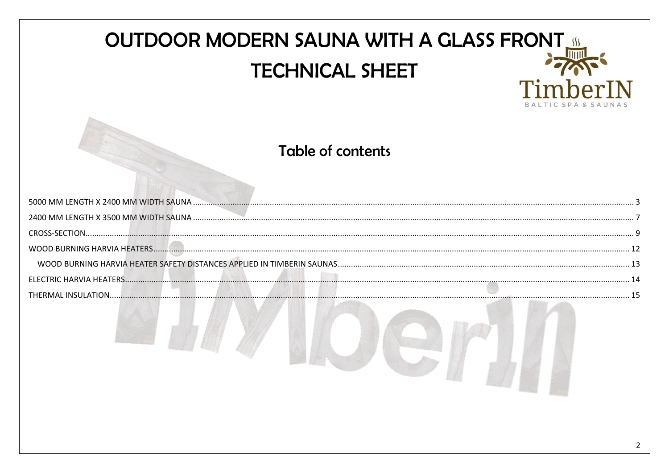| OUTDOOR MODERN SAUNA WITH A GLASS FRONT.<br><b>TECHNICAL SHEET</b> |     |
|--------------------------------------------------------------------|-----|
| Table of contents                                                  |     |
|                                                                    |     |
|                                                                    |     |
|                                                                    |     |
|                                                                    |     |
|                                                                    |     |
|                                                                    |     |
|                                                                    | .15 |
| and the con-                                                       |     |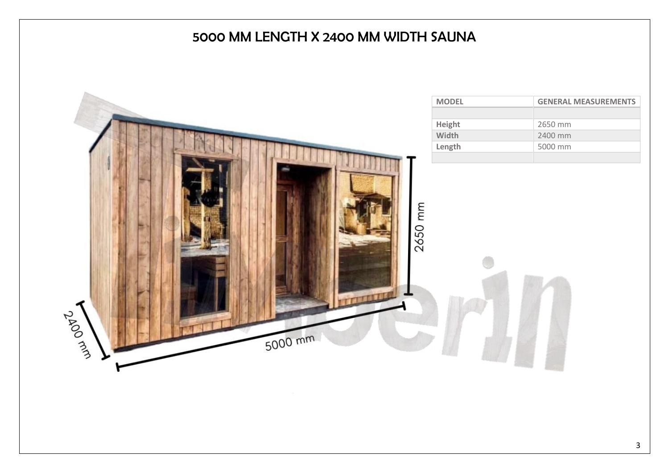### 5000 MM LENGTH X 2400 MM WIDTH SAUNA

<span id="page-2-0"></span>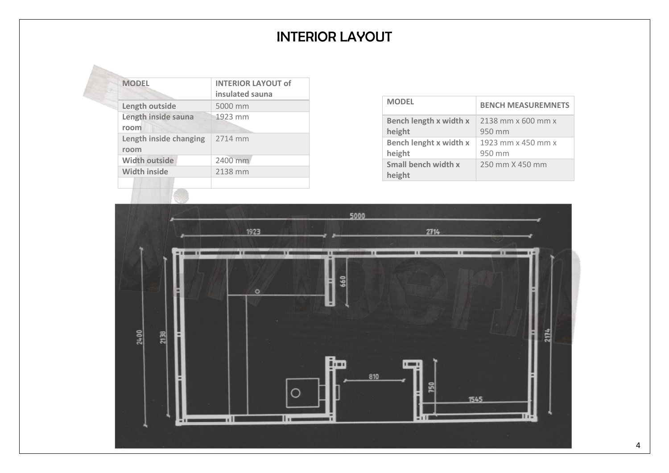## INTERIOR LAYOUT

| <b>MODEL</b>           | <b>INTERIOR LAYOUT of</b> |
|------------------------|---------------------------|
|                        | insulated sauna           |
| Length outside         | 5000 mm                   |
| Length inside sauna    | 1923 mm                   |
| room                   |                           |
| Length inside changing | 2714 mm                   |
| room                   |                           |
| <b>Width outside</b>   | 2400 mm                   |
| <b>Width inside</b>    | 2138 mm                   |
|                        |                           |

| <b>MODEL</b>                  | <b>BENCH MEASUREMNETS</b> |
|-------------------------------|---------------------------|
| Bench length x width x        | 2138 mm x 600 mm x        |
| height                        | $950 \,\mathrm{mm}$       |
| Bench lenght x width x        | 1923 mm x 450 mm x        |
| height                        | 950 mm                    |
| Small bench width x<br>height | 250 mm X 450 mm           |

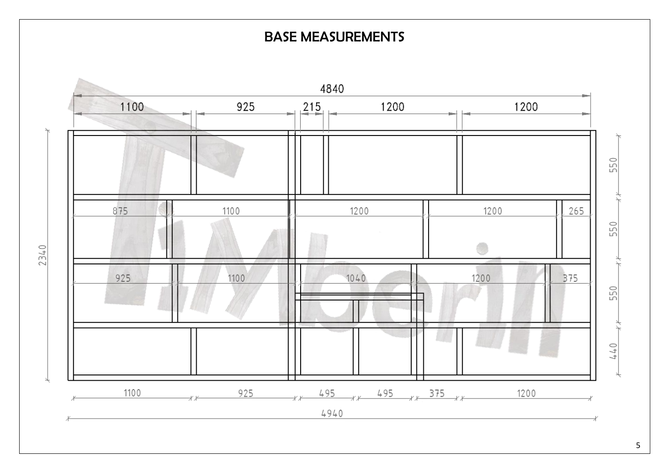### BASE MEASUREMENTS

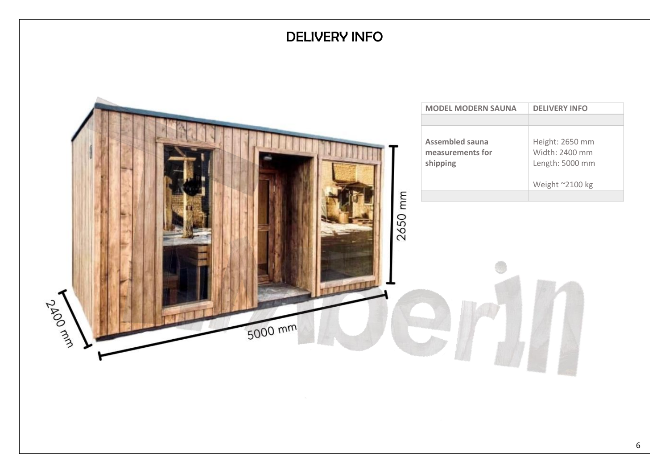# DELIVERY INFO **MODEL MODERN SAUNA DELIVERY INFO Assembled sauna**  Height: 2650 mm **measurements for**  Width: 2400 mm **shipping** Length: 5000 mm Weight ~2100 kg2650 mm **TELEVILLE LAOO REPO**  $5000 \, \text{mm}$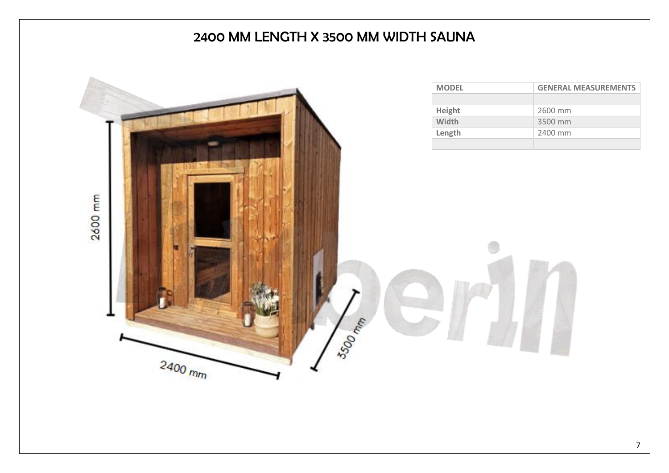### 2400 MM LENGTH X 3500 MM WIDTH SAUNA

<span id="page-6-0"></span>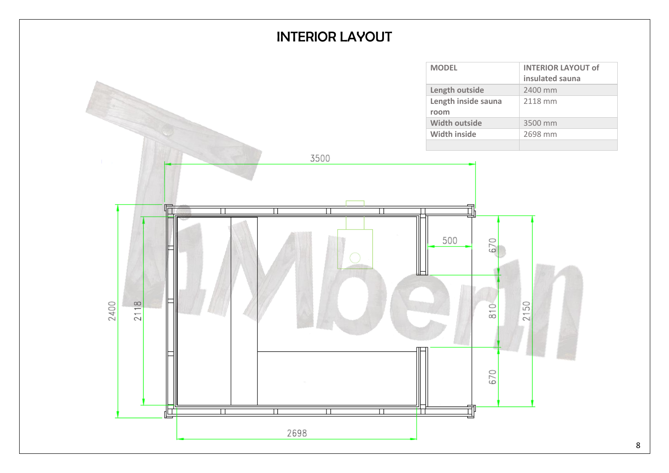### INTERIOR LAYOUT

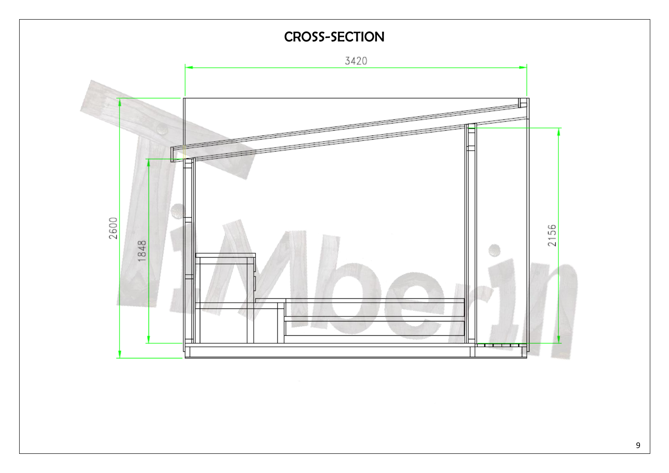<span id="page-8-0"></span>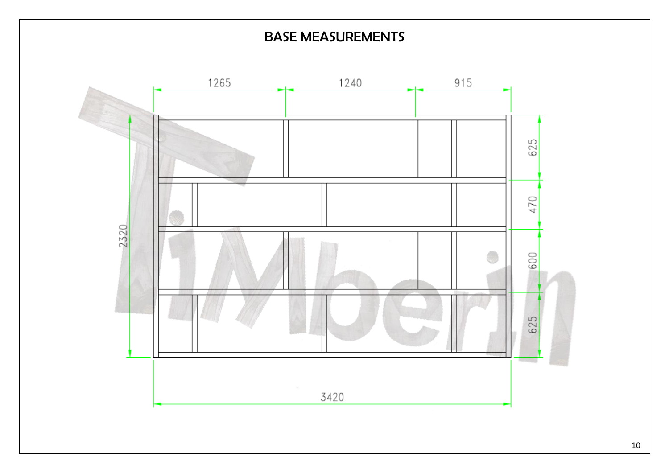## BASE MEASUREMENTS

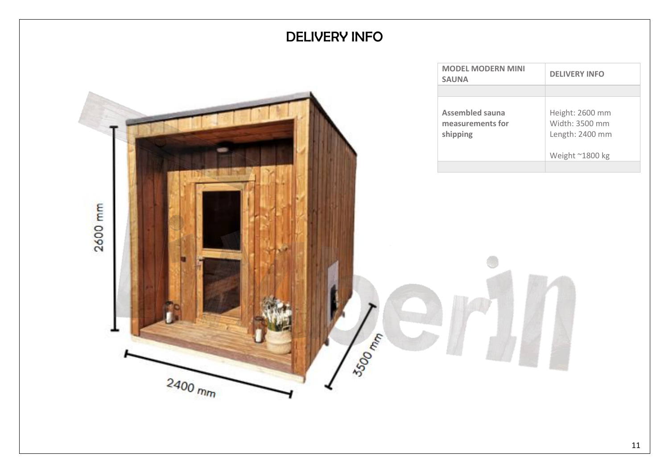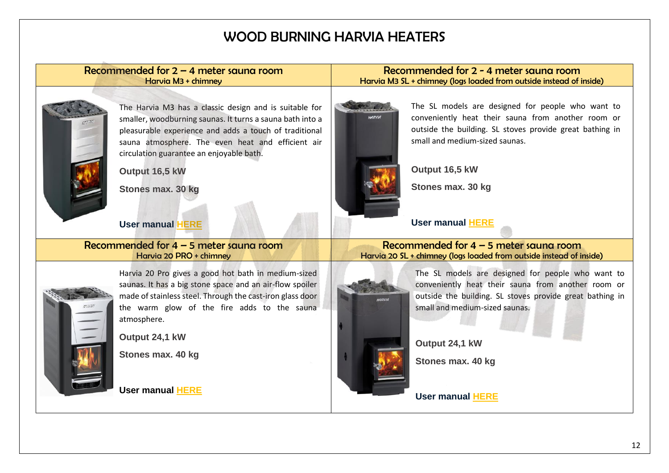### WOOD BURNING HARVIA HEATERS

l

#### <span id="page-11-0"></span>Recommended for 2 – 4 meter sauna room Harvia M3 + chimney Recommended for 2 - 4 meter sauna room Harvia M3 SL + chimney (logs loaded from outside instead of inside) Recommended for 4 – 5 meter sauna room Harvia 20 PRO + chimney Recommended for 4 – 5 meter sauna room Harvia 20 SL + chimney (logs loaded from outside instead of inside) The Harvia M3 has a classic design and is suitable for smaller, woodburning saunas. It turns a sauna bath into a pleasurable experience and adds a touch of traditional sauna atmosphere. The even heat and efficient air circulation guarantee an enjoyable bath. **Output 16,5 kW Stones max. 30 kg [User manual HERE](https://www.harvia.fi/wp-content/uploads/2017/02/Pk_CE_VTT_FISVENDERUET.pdf)** The SL models are designed for people who want to conveniently heat their sauna from another room or outside the building. SL stoves provide great bathing in small and medium-sized saunas. **Output 16,5 kW Stones max. 30 kg [User manual HERE](http://www2.harvia.fi/files/pdf_installation_info/41569/Pk_CE_VTT_PkSL_lisaohje_ENDE.pdf)** The SL models are designed for people who want to conveniently heat their sauna from another room or outside the building. SL stoves provide great bathing in small and medium-sized saunas. **Output 24,1 kW Stones max. 40 kg [User manual HERE](http://www2.harvia.fi/files/pdf_installation_info/41632/Pk_CE_VTT_PkSL_lisaohje_ENDE.pdf)** Harvia 20 Pro gives a good hot bath in medium-sized saunas. It has a big stone space and an air-flow spoiler made of stainless steel. Through the cast-iron glass door the warm glow of the fire adds to the sauna atmosphere. **Output 24,1 kW Stones max. 40 kg [User manual HERE](http://www2.harvia.fi/files/pdf_installation_info/41660/Pk_CE_VTT_ENDE.pdf)**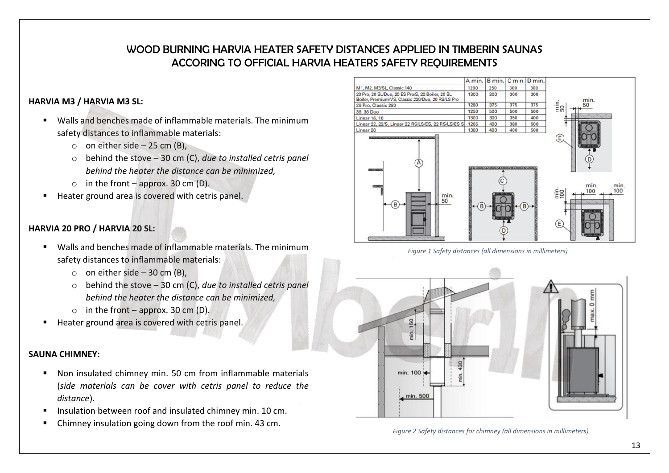### WOOD BURNING HARVIA HEATER SAFETY DISTANCES APPLIED IN TIMBERIN SAUNAS ACCORING TO OFFICIAL HARVIA HEATERS SAFETY REQUIREMENTS

#### <span id="page-12-0"></span>**HARVIA M3 / HARVIA M3 SL:**

- Walls and benches made of inflammable materials. The minimum safety distances to inflammable materials:
	- $\circ$  on either side 25 cm (B),
	- o behind the stove 30 cm (C), *due to installed cetris panel behind the heater the distance can be minimized,*
	- $\circ$  in the front approx. 30 cm (D).
- Heater ground area is covered with cetris panel.

#### **HARVIA 20 PRO / HARVIA 20 SL:**

- Walls and benches made of inflammable materials. The minimum safety distances to inflammable materials:
	- $\circ$  on either side 30 cm (B),
	- o behind the stove 30 cm (C), *due to installed cetris panel behind the heater the distance can be minimized,*
	- $\circ$  in the front approx. 30 cm (D).
- Heater ground area is covered with cetris panel.

#### **SAUNA CHIMNEY:**

- Non insulated chimney min. 50 cm from inflammable materials (*side materials can be cover with cetris panel to reduce the distance*).
- Insulation between roof and insulated chimney min. 10 cm.
- Chimney insulation going down from the roof min. 43 cm.



*Figure 1 Safety distances (all dimensions in millimeters)*



*Figure 2 Safety distances for chimney (all dimensions in millimeters)*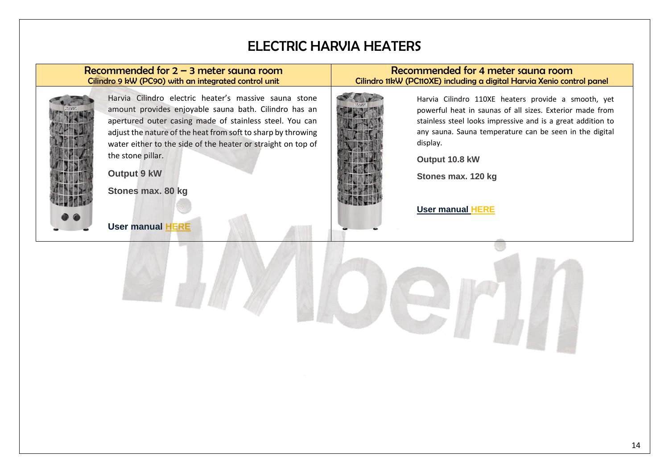### ELECTRIC HARVIA HEATERS

<span id="page-13-0"></span>